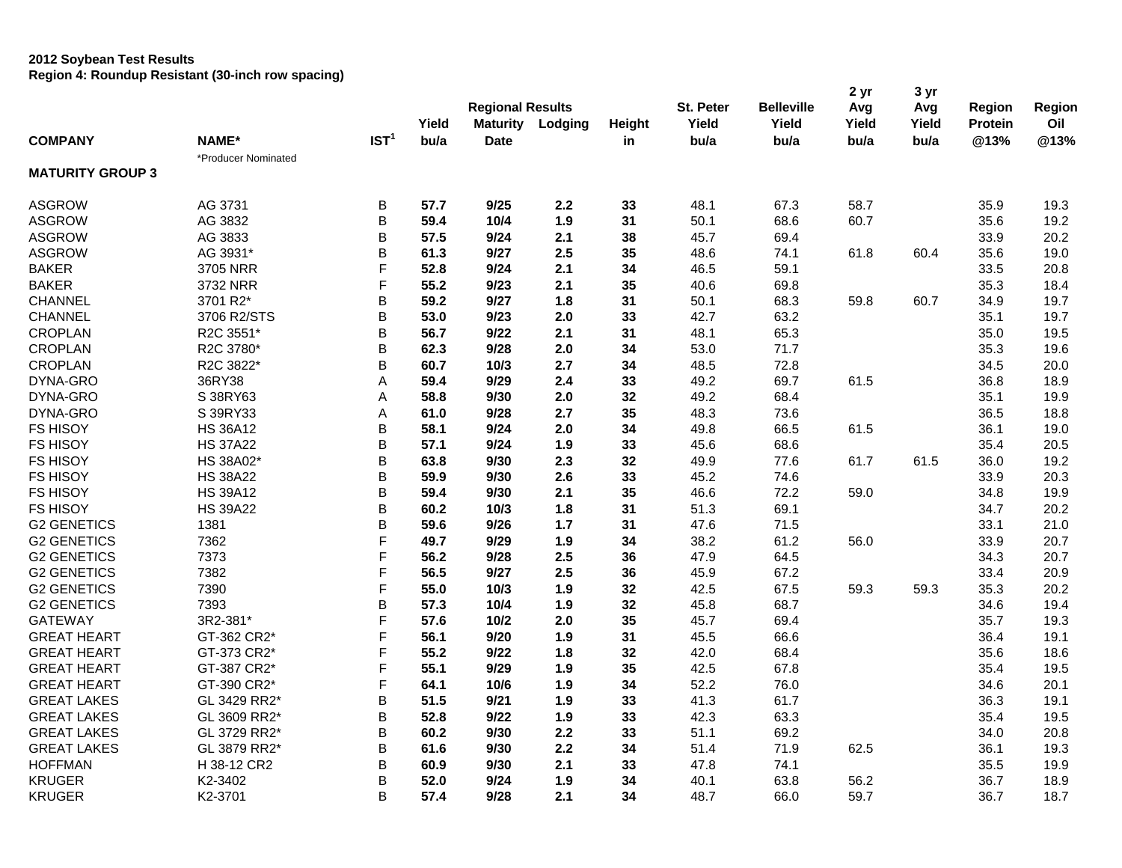|                         |                     |                  | Yield | <b>Regional Results</b><br><b>Maturity</b> | Lodging | Height | St. Peter<br>Yield | <b>Belleville</b><br>Yield | 2 yr<br>Avg<br>Yield | 3 yr<br>Avg<br>Yield | Region<br><b>Protein</b> | Region<br>Oil |
|-------------------------|---------------------|------------------|-------|--------------------------------------------|---------|--------|--------------------|----------------------------|----------------------|----------------------|--------------------------|---------------|
| <b>COMPANY</b>          | NAME*               | IST <sup>1</sup> | bu/a  | <b>Date</b>                                |         | in     | bu/a               | bu/a                       | bu/a                 | bu/a                 | @13%                     | @13%          |
|                         | *Producer Nominated |                  |       |                                            |         |        |                    |                            |                      |                      |                          |               |
| <b>MATURITY GROUP 3</b> |                     |                  |       |                                            |         |        |                    |                            |                      |                      |                          |               |
| <b>ASGROW</b>           | AG 3731             | B                | 57.7  | 9/25                                       | 2.2     | 33     | 48.1               | 67.3                       | 58.7                 |                      | 35.9                     | 19.3          |
| <b>ASGROW</b>           | AG 3832             | $\sf B$          | 59.4  | 10/4                                       | 1.9     | 31     | 50.1               | 68.6                       | 60.7                 |                      | 35.6                     | 19.2          |
| <b>ASGROW</b>           | AG 3833             | B                | 57.5  | 9/24                                       | 2.1     | 38     | 45.7               | 69.4                       |                      |                      | 33.9                     | 20.2          |
| <b>ASGROW</b>           | AG 3931*            | B                | 61.3  | 9/27                                       | 2.5     | 35     | 48.6               | 74.1                       | 61.8                 | 60.4                 | 35.6                     | 19.0          |
| <b>BAKER</b>            | 3705 NRR            | F                | 52.8  | 9/24                                       | 2.1     | 34     | 46.5               | 59.1                       |                      |                      | 33.5                     | 20.8          |
| <b>BAKER</b>            | 3732 NRR            | F                | 55.2  | 9/23                                       | 2.1     | 35     | 40.6               | 69.8                       |                      |                      | 35.3                     | 18.4          |
| <b>CHANNEL</b>          | 3701 R2*            | B                | 59.2  | 9/27                                       | 1.8     | 31     | 50.1               | 68.3                       | 59.8                 | 60.7                 | 34.9                     | 19.7          |
| <b>CHANNEL</b>          | 3706 R2/STS         | B                | 53.0  | 9/23                                       | 2.0     | 33     | 42.7               | 63.2                       |                      |                      | 35.1                     | 19.7          |
| <b>CROPLAN</b>          | R2C 3551*           | $\mathsf B$      | 56.7  | 9/22                                       | 2.1     | 31     | 48.1               | 65.3                       |                      |                      | 35.0                     | 19.5          |
| <b>CROPLAN</b>          | R2C 3780*           | B                | 62.3  | 9/28                                       | 2.0     | 34     | 53.0               | 71.7                       |                      |                      | 35.3                     | 19.6          |
| <b>CROPLAN</b>          | R2C 3822*           | B                | 60.7  | 10/3                                       | 2.7     | 34     | 48.5               | 72.8                       |                      |                      | 34.5                     | 20.0          |
| DYNA-GRO                | 36RY38              | Α                | 59.4  | 9/29                                       | 2.4     | 33     | 49.2               | 69.7                       | 61.5                 |                      | 36.8                     | 18.9          |
| DYNA-GRO                | S 38RY63            | A                | 58.8  | 9/30                                       | 2.0     | 32     | 49.2               | 68.4                       |                      |                      | 35.1                     | 19.9          |
| DYNA-GRO                | S 39RY33            | A                | 61.0  | 9/28                                       | 2.7     | 35     | 48.3               | 73.6                       |                      |                      | 36.5                     | 18.8          |
| <b>FS HISOY</b>         | <b>HS 36A12</b>     | B                | 58.1  | 9/24                                       | 2.0     | 34     | 49.8               | 66.5                       | 61.5                 |                      | 36.1                     | 19.0          |
| <b>FS HISOY</b>         | <b>HS 37A22</b>     | B                | 57.1  | 9/24                                       | 1.9     | 33     | 45.6               | 68.6                       |                      |                      | 35.4                     | 20.5          |
| <b>FS HISOY</b>         | HS 38A02*           | B                | 63.8  | 9/30                                       | 2.3     | 32     | 49.9               | 77.6                       | 61.7                 | 61.5                 | 36.0                     | 19.2          |
| <b>FS HISOY</b>         | <b>HS 38A22</b>     | B                | 59.9  | 9/30                                       | 2.6     | 33     | 45.2               | 74.6                       |                      |                      | 33.9                     | 20.3          |
| <b>FS HISOY</b>         | <b>HS 39A12</b>     | $\mathsf B$      | 59.4  | 9/30                                       | 2.1     | 35     | 46.6               | 72.2                       | 59.0                 |                      | 34.8                     | 19.9          |
| <b>FS HISOY</b>         | <b>HS 39A22</b>     | B                | 60.2  | 10/3                                       | 1.8     | 31     | 51.3               | 69.1                       |                      |                      | 34.7                     | 20.2          |
| <b>G2 GENETICS</b>      | 1381                | B                | 59.6  | 9/26                                       | 1.7     | 31     | 47.6               | 71.5                       |                      |                      | 33.1                     | 21.0          |
| <b>G2 GENETICS</b>      | 7362                | F                | 49.7  | 9/29                                       | 1.9     | 34     | 38.2               | 61.2                       | 56.0                 |                      | 33.9                     | 20.7          |
| <b>G2 GENETICS</b>      | 7373                | F                | 56.2  | 9/28                                       | 2.5     | 36     | 47.9               | 64.5                       |                      |                      | 34.3                     | 20.7          |
| <b>G2 GENETICS</b>      | 7382                | F                | 56.5  | 9/27                                       | 2.5     | 36     | 45.9               | 67.2                       |                      |                      | 33.4                     | 20.9          |
| <b>G2 GENETICS</b>      | 7390                | F                | 55.0  | 10/3                                       | 1.9     | 32     | 42.5               | 67.5                       | 59.3                 | 59.3                 | 35.3                     | 20.2          |
| <b>G2 GENETICS</b>      | 7393                | B                | 57.3  | 10/4                                       | 1.9     | 32     | 45.8               | 68.7                       |                      |                      | 34.6                     | 19.4          |
| <b>GATEWAY</b>          | 3R2-381*            | F                | 57.6  | 10/2                                       | 2.0     | 35     | 45.7               | 69.4                       |                      |                      | 35.7                     | 19.3          |
| <b>GREAT HEART</b>      | GT-362 CR2*         | F                | 56.1  | 9/20                                       | 1.9     | 31     | 45.5               | 66.6                       |                      |                      | 36.4                     | 19.1          |
| <b>GREAT HEART</b>      | GT-373 CR2*         | F                | 55.2  | 9/22                                       | 1.8     | 32     | 42.0               | 68.4                       |                      |                      | 35.6                     | 18.6          |
| <b>GREAT HEART</b>      | GT-387 CR2*         | F                | 55.1  | 9/29                                       | 1.9     | 35     | 42.5               | 67.8                       |                      |                      | 35.4                     | 19.5          |
| <b>GREAT HEART</b>      | GT-390 CR2*         | F                | 64.1  | 10/6                                       | 1.9     | 34     | 52.2               | 76.0                       |                      |                      | 34.6                     | 20.1          |
| <b>GREAT LAKES</b>      | GL 3429 RR2*        | B                | 51.5  | 9/21                                       | 1.9     | 33     | 41.3               | 61.7                       |                      |                      | 36.3                     | 19.1          |
| <b>GREAT LAKES</b>      | GL 3609 RR2*        | B                | 52.8  | 9/22                                       | 1.9     | 33     | 42.3               | 63.3                       |                      |                      | 35.4                     | 19.5          |
| <b>GREAT LAKES</b>      | GL 3729 RR2*        | B                | 60.2  | 9/30                                       | 2.2     | 33     | 51.1               | 69.2                       |                      |                      | 34.0                     | 20.8          |
| <b>GREAT LAKES</b>      | GL 3879 RR2*        | B                | 61.6  | 9/30                                       | 2.2     | 34     | 51.4               | 71.9                       | 62.5                 |                      | 36.1                     | 19.3          |
| <b>HOFFMAN</b>          | H 38-12 CR2         | B                | 60.9  | 9/30                                       | 2.1     | 33     | 47.8               | 74.1                       |                      |                      | 35.5                     | 19.9          |
| <b>KRUGER</b>           | K2-3402             | B                | 52.0  | 9/24                                       | 1.9     | 34     | 40.1               | 63.8                       | 56.2                 |                      | 36.7                     | 18.9          |
| <b>KRUGER</b>           | K2-3701             | B                | 57.4  | 9/28                                       | 2.1     | 34     | 48.7               | 66.0                       | 59.7                 |                      | 36.7                     | 18.7          |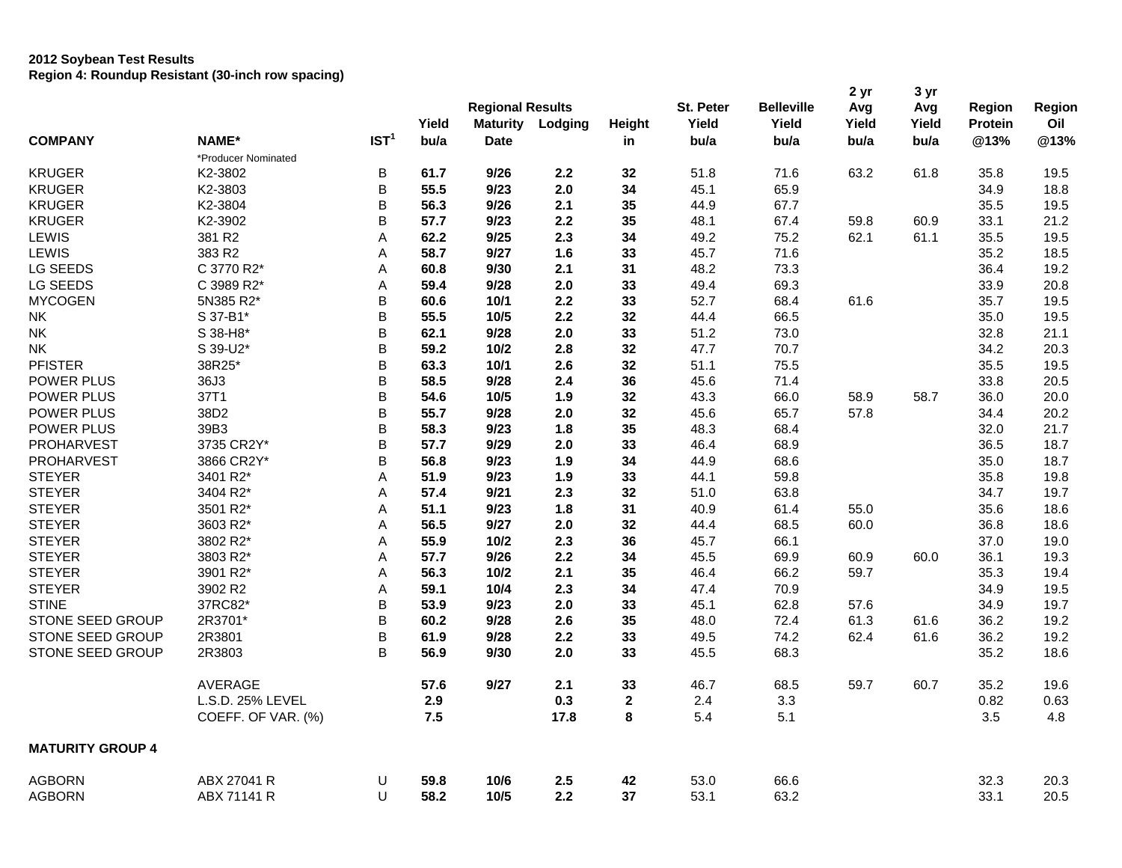|                         |                     |                  | Yield | <b>Regional Results</b><br><b>Maturity</b> | Lodging | Height         | St. Peter<br>Yield | <b>Belleville</b><br>Yield | 2 yr<br>Avg<br>Yield | 3 yr<br>Avg<br>Yield | Region<br><b>Protein</b> | Region<br>Oil |
|-------------------------|---------------------|------------------|-------|--------------------------------------------|---------|----------------|--------------------|----------------------------|----------------------|----------------------|--------------------------|---------------|
| <b>COMPANY</b>          | NAME*               | IST <sup>1</sup> | bu/a  | <b>Date</b>                                |         | in             | bu/a               | bu/a                       | bu/a                 | bu/a                 | @13%                     | @13%          |
|                         | *Producer Nominated |                  |       |                                            |         |                |                    |                            |                      |                      |                          |               |
| <b>KRUGER</b>           | K2-3802             | B                | 61.7  | 9/26                                       | 2.2     | 32             | 51.8               | 71.6                       | 63.2                 | 61.8                 | 35.8                     | 19.5          |
| <b>KRUGER</b>           | K2-3803             | $\sf B$          | 55.5  | 9/23                                       | 2.0     | 34             | 45.1               | 65.9                       |                      |                      | 34.9                     | 18.8          |
| <b>KRUGER</b>           | K2-3804             | B                | 56.3  | 9/26                                       | 2.1     | 35             | 44.9               | 67.7                       |                      |                      | 35.5                     | 19.5          |
| <b>KRUGER</b>           | K2-3902             | B                | 57.7  | 9/23                                       | 2.2     | 35             | 48.1               | 67.4                       | 59.8                 | 60.9                 | 33.1                     | 21.2          |
| LEWIS                   | 381 R2              | A                | 62.2  | 9/25                                       | 2.3     | 34             | 49.2               | 75.2                       | 62.1                 | 61.1                 | 35.5                     | 19.5          |
| LEWIS                   | 383 R2              | A                | 58.7  | 9/27                                       | 1.6     | 33             | 45.7               | 71.6                       |                      |                      | 35.2                     | 18.5          |
| LG SEEDS                | C 3770 R2*          | A                | 60.8  | 9/30                                       | 2.1     | 31             | 48.2               | 73.3                       |                      |                      | 36.4                     | 19.2          |
| LG SEEDS                | C 3989 R2*          | Α                | 59.4  | 9/28                                       | 2.0     | 33             | 49.4               | 69.3                       |                      |                      | 33.9                     | 20.8          |
| <b>MYCOGEN</b>          | 5N385 R2*           | B                | 60.6  | 10/1                                       | 2.2     | 33             | 52.7               | 68.4                       | 61.6                 |                      | 35.7                     | 19.5          |
| NK.                     | S 37-B1*            | B                | 55.5  | 10/5                                       | 2.2     | 32             | 44.4               | 66.5                       |                      |                      | 35.0                     | 19.5          |
| <b>NK</b>               | S 38-H8*            | B                | 62.1  | 9/28                                       | 2.0     | 33             | 51.2               | 73.0                       |                      |                      | 32.8                     | 21.1          |
| <b>NK</b>               | S 39-U2*            | B                | 59.2  | 10/2                                       | 2.8     | 32             | 47.7               | 70.7                       |                      |                      | 34.2                     | 20.3          |
| <b>PFISTER</b>          | 38R25*              | $\sf B$          | 63.3  | 10/1                                       | 2.6     | 32             | 51.1               | 75.5                       |                      |                      | 35.5                     | 19.5          |
| POWER PLUS              | 36J3                | B                | 58.5  | 9/28                                       | 2.4     | 36             | 45.6               | 71.4                       |                      |                      | 33.8                     | 20.5          |
| POWER PLUS              | 37T1                | B                | 54.6  | 10/5                                       | 1.9     | 32             | 43.3               | 66.0                       | 58.9                 | 58.7                 | 36.0                     | 20.0          |
| POWER PLUS              | 38D2                | $\sf B$          | 55.7  | 9/28                                       | 2.0     | 32             | 45.6               | 65.7                       | 57.8                 |                      | 34.4                     | 20.2          |
| POWER PLUS              | 39B3                | B                | 58.3  | 9/23                                       | 1.8     | 35             | 48.3               | 68.4                       |                      |                      | 32.0                     | 21.7          |
| PROHARVEST              | 3735 CR2Y*          | B                | 57.7  | 9/29                                       | 2.0     | 33             | 46.4               | 68.9                       |                      |                      | 36.5                     | 18.7          |
| PROHARVEST              | 3866 CR2Y*          | B                | 56.8  | 9/23                                       | 1.9     | 34             | 44.9               | 68.6                       |                      |                      | 35.0                     | 18.7          |
| <b>STEYER</b>           | 3401 R2*            | Α                | 51.9  | 9/23                                       | 1.9     | 33             | 44.1               | 59.8                       |                      |                      | 35.8                     | 19.8          |
| <b>STEYER</b>           | 3404 R2*            | A                | 57.4  | 9/21                                       | 2.3     | 32             | 51.0               | 63.8                       |                      |                      | 34.7                     | 19.7          |
| <b>STEYER</b>           | 3501 R2*            | A                | 51.1  | 9/23                                       | 1.8     | 31             | 40.9               | 61.4                       | 55.0                 |                      | 35.6                     | 18.6          |
| <b>STEYER</b>           | 3603 R2*            | A                | 56.5  | 9/27                                       | 2.0     | 32             | 44.4               | 68.5                       | 60.0                 |                      | 36.8                     | 18.6          |
| <b>STEYER</b>           | 3802 R2*            | Α                | 55.9  | 10/2                                       | 2.3     | 36             | 45.7               | 66.1                       |                      |                      | 37.0                     | 19.0          |
| <b>STEYER</b>           | 3803 R2*            | A                | 57.7  | 9/26                                       | 2.2     | 34             | 45.5               | 69.9                       | 60.9                 | 60.0                 | 36.1                     | 19.3          |
| <b>STEYER</b>           | 3901 R2*            | A                | 56.3  | 10/2                                       | 2.1     | 35             | 46.4               | 66.2                       | 59.7                 |                      | 35.3                     | 19.4          |
| <b>STEYER</b>           | 3902 R2             | A                | 59.1  | 10/4                                       | 2.3     | 34             | 47.4               | 70.9                       |                      |                      | 34.9                     | 19.5          |
| <b>STINE</b>            | 37RC82*             | B                | 53.9  | 9/23                                       | 2.0     | 33             | 45.1               | 62.8                       | 57.6                 |                      | 34.9                     | 19.7          |
| STONE SEED GROUP        | 2R3701*             | B                | 60.2  | 9/28                                       | 2.6     | 35             | 48.0               | 72.4                       | 61.3                 | 61.6                 | 36.2                     | 19.2          |
| STONE SEED GROUP        | 2R3801              | B                | 61.9  | 9/28                                       | 2.2     | 33             | 49.5               | 74.2                       | 62.4                 | 61.6                 | 36.2                     | 19.2          |
| STONE SEED GROUP        | 2R3803              | B                | 56.9  | 9/30                                       | 2.0     | 33             | 45.5               | 68.3                       |                      |                      | 35.2                     | 18.6          |
|                         | AVERAGE             |                  | 57.6  | 9/27                                       | 2.1     | 33             | 46.7               | 68.5                       | 59.7                 | 60.7                 | 35.2                     | 19.6          |
|                         | L.S.D. 25% LEVEL    |                  | 2.9   |                                            | 0.3     | $\overline{2}$ | 2.4                | 3.3                        |                      |                      | 0.82                     | 0.63          |
|                         | COEFF. OF VAR. (%)  |                  | 7.5   |                                            | 17.8    | $\pmb{8}$      | 5.4                | 5.1                        |                      |                      | 3.5                      | 4.8           |
| <b>MATURITY GROUP 4</b> |                     |                  |       |                                            |         |                |                    |                            |                      |                      |                          |               |
| <b>AGBORN</b>           | ABX 27041 R         | U                | 59.8  | 10/6                                       | 2.5     | 42             | 53.0               | 66.6                       |                      |                      | 32.3                     | 20.3          |
| <b>AGBORN</b>           | ABX 71141 R         | U                | 58.2  | 10/5                                       | 2.2     | 37             | 53.1               | 63.2                       |                      |                      | 33.1                     | 20.5          |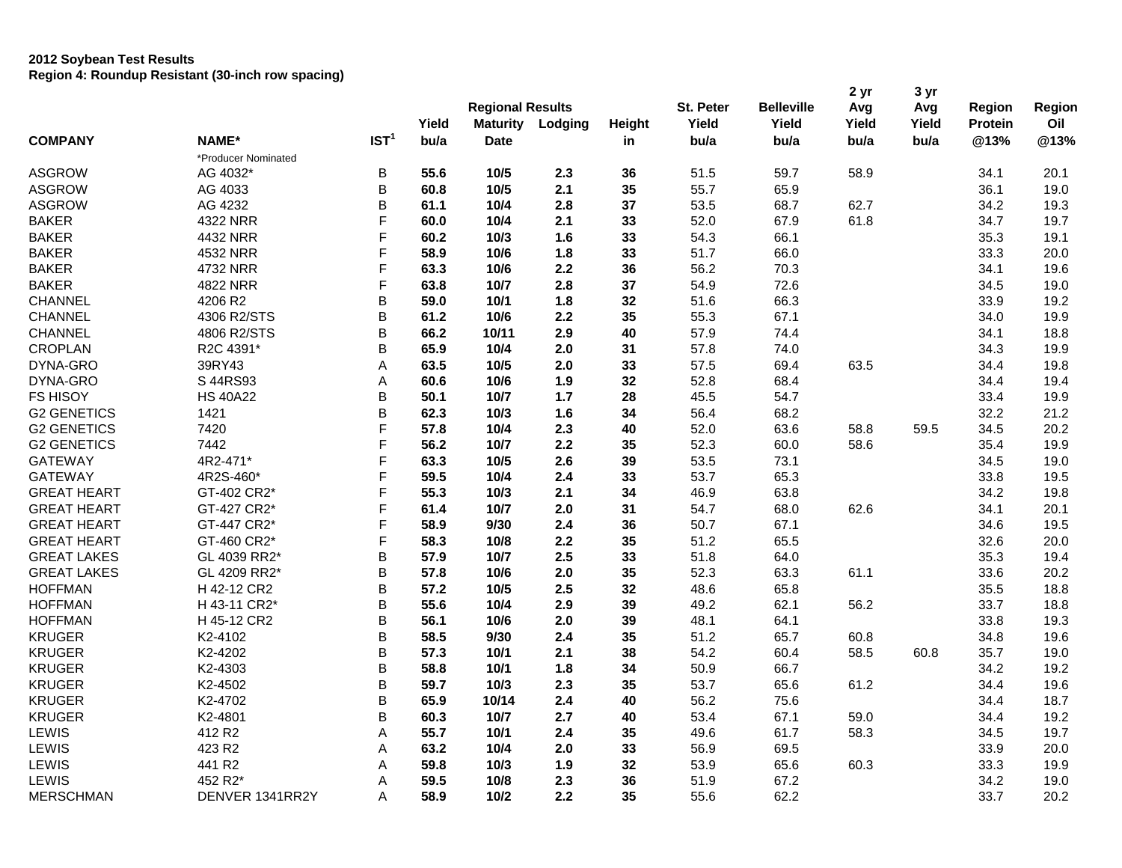|                    |                     |                  | Yield        | <b>Regional Results</b><br><b>Maturity</b> | Lodging | Height | St. Peter<br>Yield | <b>Belleville</b><br>Yield | 2 yr<br>Avg<br>Yield | 3 yr<br>Avg<br>Yield | Region<br><b>Protein</b> | Region<br>Oil |
|--------------------|---------------------|------------------|--------------|--------------------------------------------|---------|--------|--------------------|----------------------------|----------------------|----------------------|--------------------------|---------------|
| <b>COMPANY</b>     | NAME*               | IST <sup>1</sup> | bu/a         | Date                                       |         | in     | bu/a               | bu/a                       | bu/a                 | bu/a                 | @13%                     | @13%          |
|                    | *Producer Nominated |                  |              |                                            |         |        |                    |                            |                      |                      |                          |               |
| <b>ASGROW</b>      | AG 4032*            | B                | 55.6         | 10/5                                       | 2.3     | 36     | 51.5               | 59.7                       | 58.9                 |                      | 34.1                     | 20.1          |
| <b>ASGROW</b>      | AG 4033             | B                | 60.8         | 10/5                                       | 2.1     | 35     | 55.7               | 65.9                       |                      |                      | 36.1                     | 19.0          |
| <b>ASGROW</b>      | AG 4232             | B                | 61.1         | 10/4                                       | 2.8     | 37     | 53.5               | 68.7                       | 62.7                 |                      | 34.2                     | 19.3          |
| <b>BAKER</b>       | 4322 NRR            | F                | 60.0         | 10/4                                       | 2.1     | 33     | 52.0               | 67.9                       | 61.8                 |                      | 34.7                     | 19.7          |
| <b>BAKER</b>       | 4432 NRR            | F                | 60.2         | 10/3                                       | 1.6     | 33     | 54.3               | 66.1                       |                      |                      | 35.3                     | 19.1          |
| <b>BAKER</b>       | 4532 NRR            | F                | 58.9         | 10/6                                       | 1.8     | 33     | 51.7               | 66.0                       |                      |                      | 33.3                     | 20.0          |
| <b>BAKER</b>       | 4732 NRR            | F                | 63.3         | 10/6                                       | 2.2     | 36     | 56.2               | 70.3                       |                      |                      | 34.1                     | 19.6          |
| <b>BAKER</b>       | 4822 NRR            | F                | 63.8         | 10/7                                       | 2.8     | 37     | 54.9               | 72.6                       |                      |                      | 34.5                     | 19.0          |
| CHANNEL            | 4206 R2             | B                | 59.0         | 10/1                                       | 1.8     | 32     | 51.6               | 66.3                       |                      |                      | 33.9                     | 19.2          |
| <b>CHANNEL</b>     | 4306 R2/STS         | B                | 61.2         | 10/6                                       | 2.2     | 35     | 55.3               | 67.1                       |                      |                      | 34.0                     | 19.9          |
| CHANNEL            | 4806 R2/STS         | B                | 66.2         | 10/11                                      | 2.9     | 40     | 57.9               | 74.4                       |                      |                      | 34.1                     | 18.8          |
| <b>CROPLAN</b>     | R2C 4391*           | B                | 65.9         | 10/4                                       | 2.0     | 31     | 57.8               | 74.0                       |                      |                      | 34.3                     | 19.9          |
| DYNA-GRO           | 39RY43              | A                | 63.5         | 10/5                                       | 2.0     | 33     | 57.5               | 69.4                       | 63.5                 |                      | 34.4                     | 19.8          |
| DYNA-GRO           | S 44RS93            |                  |              |                                            | 1.9     | 32     | 52.8               | 68.4                       |                      |                      | 34.4                     | 19.4          |
| <b>FS HISOY</b>    | <b>HS 40A22</b>     | A<br>B           | 60.6<br>50.1 | 10/6<br>10/7                               | 1.7     | 28     | 45.5               | 54.7                       |                      |                      | 33.4                     | 19.9          |
|                    |                     | B                |              |                                            |         | 34     | 56.4               |                            |                      |                      | 32.2                     | 21.2          |
| <b>G2 GENETICS</b> | 1421                | F                | 62.3<br>57.8 | 10/3                                       | 1.6     |        |                    | 68.2                       |                      | 59.5                 |                          |               |
| <b>G2 GENETICS</b> | 7420                | F                |              | 10/4                                       | 2.3     | 40     | 52.0               | 63.6                       | 58.8                 |                      | 34.5                     | 20.2          |
| <b>G2 GENETICS</b> | 7442                |                  | 56.2         | 10/7                                       | 2.2     | 35     | 52.3               | 60.0                       | 58.6                 |                      | 35.4                     | 19.9          |
| <b>GATEWAY</b>     | 4R2-471*            | F                | 63.3         | 10/5                                       | 2.6     | 39     | 53.5               | 73.1                       |                      |                      | 34.5                     | 19.0          |
| <b>GATEWAY</b>     | 4R2S-460*           | F                | 59.5         | 10/4                                       | 2.4     | 33     | 53.7               | 65.3                       |                      |                      | 33.8                     | 19.5          |
| <b>GREAT HEART</b> | GT-402 CR2*         | F                | 55.3         | 10/3                                       | 2.1     | 34     | 46.9               | 63.8                       |                      |                      | 34.2                     | 19.8          |
| <b>GREAT HEART</b> | GT-427 CR2*         | F                | 61.4         | 10/7                                       | 2.0     | 31     | 54.7               | 68.0                       | 62.6                 |                      | 34.1                     | 20.1          |
| <b>GREAT HEART</b> | GT-447 CR2*         | F                | 58.9         | 9/30                                       | 2.4     | 36     | 50.7               | 67.1                       |                      |                      | 34.6                     | 19.5          |
| <b>GREAT HEART</b> | GT-460 CR2*         | F                | 58.3         | 10/8                                       | 2.2     | 35     | 51.2               | 65.5                       |                      |                      | 32.6                     | 20.0          |
| <b>GREAT LAKES</b> | GL 4039 RR2*        | B                | 57.9         | 10/7                                       | 2.5     | 33     | 51.8               | 64.0                       |                      |                      | 35.3                     | 19.4          |
| <b>GREAT LAKES</b> | GL 4209 RR2*        | B                | 57.8         | 10/6                                       | 2.0     | 35     | 52.3               | 63.3                       | 61.1                 |                      | 33.6                     | 20.2          |
| <b>HOFFMAN</b>     | H 42-12 CR2         | B                | 57.2         | 10/5                                       | 2.5     | 32     | 48.6               | 65.8                       |                      |                      | 35.5                     | 18.8          |
| <b>HOFFMAN</b>     | H 43-11 CR2*        | B                | 55.6         | 10/4                                       | 2.9     | 39     | 49.2               | 62.1                       | 56.2                 |                      | 33.7                     | 18.8          |
| <b>HOFFMAN</b>     | H 45-12 CR2         | B                | 56.1         | 10/6                                       | 2.0     | 39     | 48.1               | 64.1                       |                      |                      | 33.8                     | 19.3          |
| <b>KRUGER</b>      | K2-4102             | B                | 58.5         | 9/30                                       | 2.4     | 35     | 51.2               | 65.7                       | 60.8                 |                      | 34.8                     | 19.6          |
| <b>KRUGER</b>      | K2-4202             | B                | 57.3         | 10/1                                       | 2.1     | 38     | 54.2               | 60.4                       | 58.5                 | 60.8                 | 35.7                     | 19.0          |
| <b>KRUGER</b>      | K2-4303             | B                | 58.8         | 10/1                                       | 1.8     | 34     | 50.9               | 66.7                       |                      |                      | 34.2                     | 19.2          |
| <b>KRUGER</b>      | K2-4502             | B                | 59.7         | 10/3                                       | 2.3     | 35     | 53.7               | 65.6                       | 61.2                 |                      | 34.4                     | 19.6          |
| <b>KRUGER</b>      | K2-4702             | B                | 65.9         | 10/14                                      | 2.4     | 40     | 56.2               | 75.6                       |                      |                      | 34.4                     | 18.7          |
| <b>KRUGER</b>      | K2-4801             | B                | 60.3         | 10/7                                       | 2.7     | 40     | 53.4               | 67.1                       | 59.0                 |                      | 34.4                     | 19.2          |
| LEWIS              | 412 R2              | A                | 55.7         | 10/1                                       | 2.4     | 35     | 49.6               | 61.7                       | 58.3                 |                      | 34.5                     | 19.7          |
| LEWIS              | 423 R2              | A                | 63.2         | 10/4                                       | 2.0     | 33     | 56.9               | 69.5                       |                      |                      | 33.9                     | 20.0          |
| LEWIS              | 441 R2              | A                | 59.8         | 10/3                                       | 1.9     | 32     | 53.9               | 65.6                       | 60.3                 |                      | 33.3                     | 19.9          |
| LEWIS              | 452 R2*             | A                | 59.5         | 10/8                                       | 2.3     | 36     | 51.9               | 67.2                       |                      |                      | 34.2                     | 19.0          |
| <b>MERSCHMAN</b>   | DENVER 1341RR2Y     | A                | 58.9         | 10/2                                       | 2.2     | 35     | 55.6               | 62.2                       |                      |                      | 33.7                     | 20.2          |